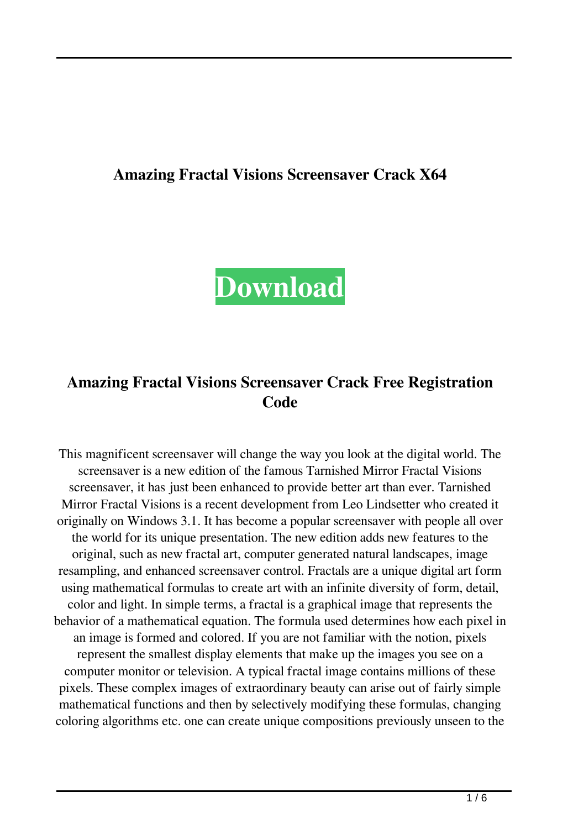### **Amazing Fractal Visions Screensaver Crack X64**



# **Amazing Fractal Visions Screensaver Crack Free Registration Code**

This magnificent screensaver will change the way you look at the digital world. The screensaver is a new edition of the famous Tarnished Mirror Fractal Visions screensaver, it has just been enhanced to provide better art than ever. Tarnished Mirror Fractal Visions is a recent development from Leo Lindsetter who created it originally on Windows 3.1. It has become a popular screensaver with people all over the world for its unique presentation. The new edition adds new features to the original, such as new fractal art, computer generated natural landscapes, image resampling, and enhanced screensaver control. Fractals are a unique digital art form using mathematical formulas to create art with an infinite diversity of form, detail, color and light. In simple terms, a fractal is a graphical image that represents the behavior of a mathematical equation. The formula used determines how each pixel in an image is formed and colored. If you are not familiar with the notion, pixels represent the smallest display elements that make up the images you see on a computer monitor or television. A typical fractal image contains millions of these pixels. These complex images of extraordinary beauty can arise out of fairly simple mathematical functions and then by selectively modifying these formulas, changing coloring algorithms etc. one can create unique compositions previously unseen to the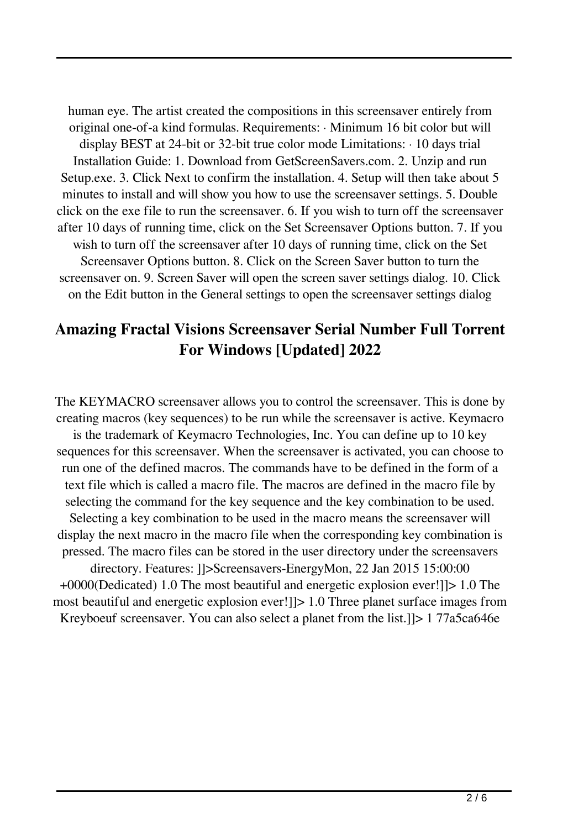human eye. The artist created the compositions in this screensaver entirely from original one-of-a kind formulas. Requirements: · Minimum 16 bit color but will display BEST at 24-bit or 32-bit true color mode Limitations: · 10 days trial Installation Guide: 1. Download from GetScreenSavers.com. 2. Unzip and run Setup.exe. 3. Click Next to confirm the installation. 4. Setup will then take about 5 minutes to install and will show you how to use the screensaver settings. 5. Double click on the exe file to run the screensaver. 6. If you wish to turn off the screensaver after 10 days of running time, click on the Set Screensaver Options button. 7. If you wish to turn off the screensaver after 10 days of running time, click on the Set Screensaver Options button. 8. Click on the Screen Saver button to turn the screensaver on. 9. Screen Saver will open the screen saver settings dialog. 10. Click on the Edit button in the General settings to open the screensaver settings dialog

### **Amazing Fractal Visions Screensaver Serial Number Full Torrent For Windows [Updated] 2022**

The KEYMACRO screensaver allows you to control the screensaver. This is done by creating macros (key sequences) to be run while the screensaver is active. Keymacro is the trademark of Keymacro Technologies, Inc. You can define up to 10 key sequences for this screensaver. When the screensaver is activated, you can choose to run one of the defined macros. The commands have to be defined in the form of a text file which is called a macro file. The macros are defined in the macro file by selecting the command for the key sequence and the key combination to be used. Selecting a key combination to be used in the macro means the screensaver will display the next macro in the macro file when the corresponding key combination is pressed. The macro files can be stored in the user directory under the screensavers directory. Features: ]]>Screensavers-EnergyMon, 22 Jan 2015 15:00:00 +0000(Dedicated) 1.0 The most beautiful and energetic explosion ever!]]> 1.0 The most beautiful and energetic explosion ever!]]> 1.0 Three planet surface images from Kreyboeuf screensaver. You can also select a planet from the list.]]> 1 77a5ca646e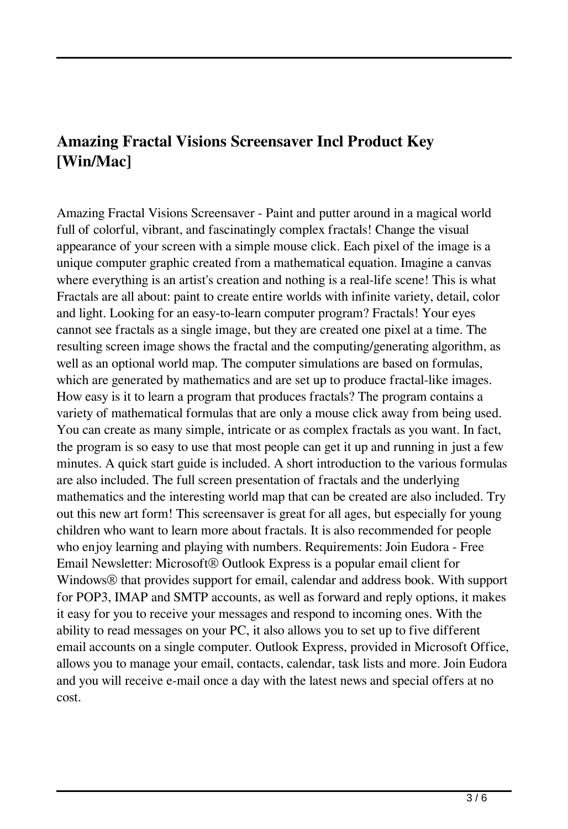# **Amazing Fractal Visions Screensaver Incl Product Key [Win/Mac]**

Amazing Fractal Visions Screensaver - Paint and putter around in a magical world full of colorful, vibrant, and fascinatingly complex fractals! Change the visual appearance of your screen with a simple mouse click. Each pixel of the image is a unique computer graphic created from a mathematical equation. Imagine a canvas where everything is an artist's creation and nothing is a real-life scene! This is what Fractals are all about: paint to create entire worlds with infinite variety, detail, color and light. Looking for an easy-to-learn computer program? Fractals! Your eyes cannot see fractals as a single image, but they are created one pixel at a time. The resulting screen image shows the fractal and the computing/generating algorithm, as well as an optional world map. The computer simulations are based on formulas, which are generated by mathematics and are set up to produce fractal-like images. How easy is it to learn a program that produces fractals? The program contains a variety of mathematical formulas that are only a mouse click away from being used. You can create as many simple, intricate or as complex fractals as you want. In fact, the program is so easy to use that most people can get it up and running in just a few minutes. A quick start guide is included. A short introduction to the various formulas are also included. The full screen presentation of fractals and the underlying mathematics and the interesting world map that can be created are also included. Try out this new art form! This screensaver is great for all ages, but especially for young children who want to learn more about fractals. It is also recommended for people who enjoy learning and playing with numbers. Requirements: Join Eudora - Free Email Newsletter: Microsoft® Outlook Express is a popular email client for Windows® that provides support for email, calendar and address book. With support for POP3, IMAP and SMTP accounts, as well as forward and reply options, it makes it easy for you to receive your messages and respond to incoming ones. With the ability to read messages on your PC, it also allows you to set up to five different email accounts on a single computer. Outlook Express, provided in Microsoft Office, allows you to manage your email, contacts, calendar, task lists and more. Join Eudora and you will receive e-mail once a day with the latest news and special offers at no cost.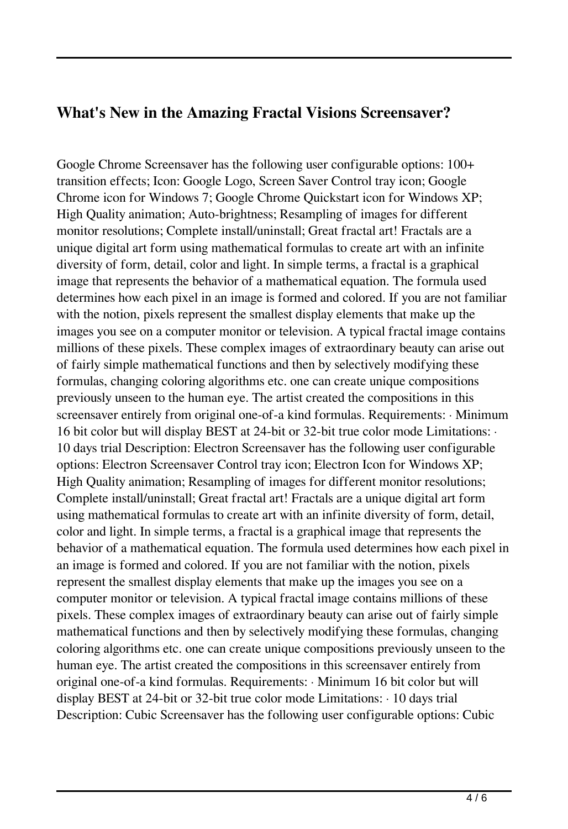#### **What's New in the Amazing Fractal Visions Screensaver?**

Google Chrome Screensaver has the following user configurable options: 100+ transition effects; Icon: Google Logo, Screen Saver Control tray icon; Google Chrome icon for Windows 7; Google Chrome Quickstart icon for Windows XP; High Quality animation; Auto-brightness; Resampling of images for different monitor resolutions; Complete install/uninstall; Great fractal art! Fractals are a unique digital art form using mathematical formulas to create art with an infinite diversity of form, detail, color and light. In simple terms, a fractal is a graphical image that represents the behavior of a mathematical equation. The formula used determines how each pixel in an image is formed and colored. If you are not familiar with the notion, pixels represent the smallest display elements that make up the images you see on a computer monitor or television. A typical fractal image contains millions of these pixels. These complex images of extraordinary beauty can arise out of fairly simple mathematical functions and then by selectively modifying these formulas, changing coloring algorithms etc. one can create unique compositions previously unseen to the human eye. The artist created the compositions in this screensaver entirely from original one-of-a kind formulas. Requirements: · Minimum 16 bit color but will display BEST at 24-bit or 32-bit true color mode Limitations: · 10 days trial Description: Electron Screensaver has the following user configurable options: Electron Screensaver Control tray icon; Electron Icon for Windows XP; High Quality animation; Resampling of images for different monitor resolutions; Complete install/uninstall; Great fractal art! Fractals are a unique digital art form using mathematical formulas to create art with an infinite diversity of form, detail, color and light. In simple terms, a fractal is a graphical image that represents the behavior of a mathematical equation. The formula used determines how each pixel in an image is formed and colored. If you are not familiar with the notion, pixels represent the smallest display elements that make up the images you see on a computer monitor or television. A typical fractal image contains millions of these pixels. These complex images of extraordinary beauty can arise out of fairly simple mathematical functions and then by selectively modifying these formulas, changing coloring algorithms etc. one can create unique compositions previously unseen to the human eye. The artist created the compositions in this screensaver entirely from original one-of-a kind formulas. Requirements: · Minimum 16 bit color but will display BEST at 24-bit or 32-bit true color mode Limitations: · 10 days trial Description: Cubic Screensaver has the following user configurable options: Cubic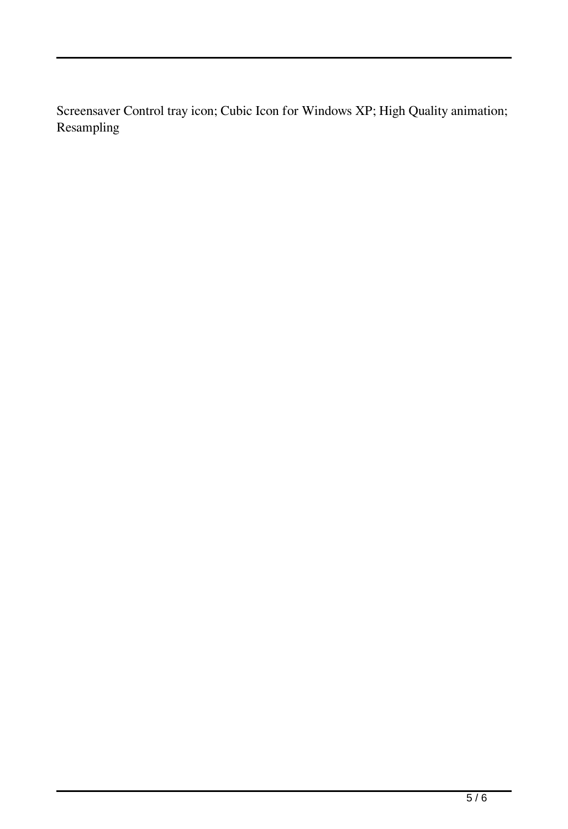Screensaver Control tray icon; Cubic Icon for Windows XP; High Quality animation; Resampling